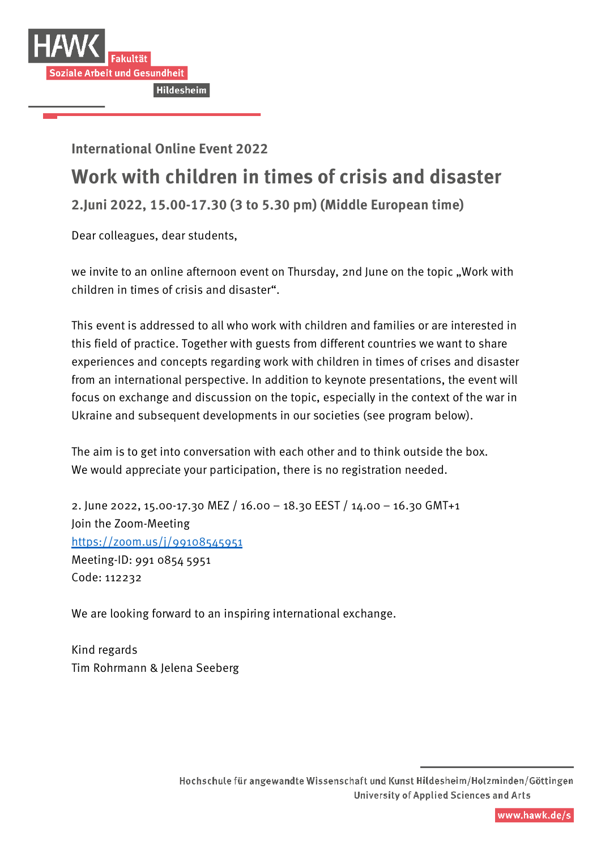

**International Online Event 2022**

## **Work with children in times of crisis and disaster**

**2.Juni 2022, 15.00-17.30 (3 to 5.30 pm) (Middle European time)** 

Dear colleagues, dear students,

we invite to an online afternoon event on Thursday, 2nd June on the topic "Work with children in times of crisis and disaster".

This event is addressed to all who work with children and families or are interested in this field of practice. Together with guests from different countries we want to share experiences and concepts regarding work with children in times of crises and disaster from an international perspective. In addition to keynote presentations, the event will focus on exchange and discussion on the topic, especially in the context of the war in Ukraine and subsequent developments in our societies (see program below).

The aim is to get into conversation with each other and to think outside the box. We would appreciate your participation, there is no registration needed.

2. June 2022, 15.00-17.30 MEZ / 16.00 – 18.30 EEST / 14.00 – 16.30 GMT+1 Join the Zoom-Meeting <https://zoom.us/j/99108545951> Meeting-ID: 991 0854 5951 Code: 112232

We are looking forward to an inspiring international exchange.

Kind regards Tim Rohrmann & Jelena Seeberg

Hochschule für angewandte Wissenschaft und Kunst Hildesheim/Holzminden/Göttingen **University of Applied Sciences and Arts**